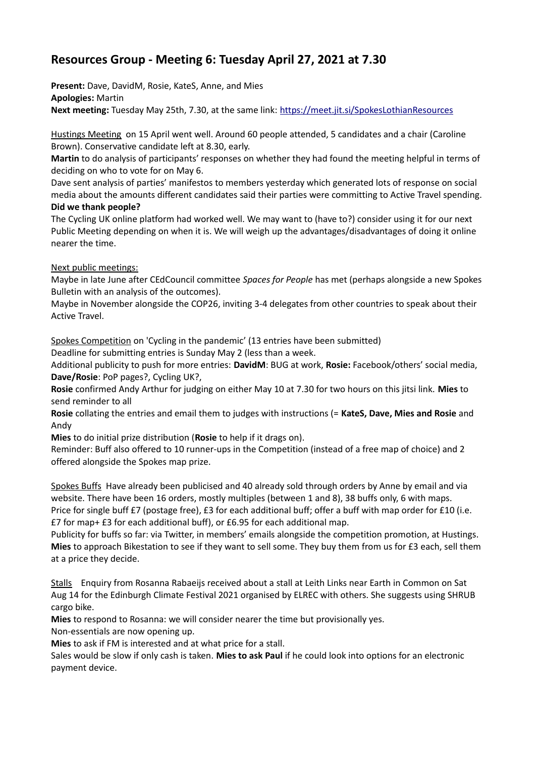## **Resources Group - Meeting 6: Tuesday April 27, 2021 at 7.30**

**Present:** Dave, DavidM, Rosie, KateS, Anne, and Mies **Apologies:** Martin **Next meeting:** Tuesday May 25th, 7.30, at the same link:<https://meet.jit.si/SpokesLothianResources>

Hustings Meeting on 15 April went well. Around 60 people attended, 5 candidates and a chair (Caroline Brown). Conservative candidate left at 8.30, early.

**Martin** to do analysis of participants' responses on whether they had found the meeting helpful in terms of deciding on who to vote for on May 6.

Dave sent analysis of parties' manifestos to members yesterday which generated lots of response on social media about the amounts different candidates said their parties were committing to Active Travel spending. **Did we thank people?**

The Cycling UK online platform had worked well. We may want to (have to?) consider using it for our next Public Meeting depending on when it is. We will weigh up the advantages/disadvantages of doing it online nearer the time.

## Next public meetings:

Maybe in late June after CEdCouncil committee *Spaces for People* has met (perhaps alongside a new Spokes Bulletin with an analysis of the outcomes).

Maybe in November alongside the COP26, inviting 3-4 delegates from other countries to speak about their Active Travel.

Spokes Competition on 'Cycling in the pandemic' (13 entries have been submitted)

Deadline for submitting entries is Sunday May 2 (less than a week.

Additional publicity to push for more entries: **DavidM**: BUG at work, **Rosie:** Facebook/others' social media, **Dave/Rosie**: PoP pages?, Cycling UK?,

**Rosie** confirmed Andy Arthur for judging on either May 10 at 7.30 for two hours on this jitsi link. **Mies** to send reminder to all

**Rosie** collating the entries and email them to judges with instructions (= **KateS, Dave, Mies and Rosie** and Andy

**Mies** to do initial prize distribution (**Rosie** to help if it drags on).

Reminder: Buff also offered to 10 runner-ups in the Competition (instead of a free map of choice) and 2 offered alongside the Spokes map prize.

Spokes Buffs Have already been publicised and 40 already sold through orders by Anne by email and via website. There have been 16 orders, mostly multiples (between 1 and 8), 38 buffs only, 6 with maps. Price for single buff £7 (postage free), £3 for each additional buff; offer a buff with map order for £10 (i.e. £7 for map+ £3 for each additional buff), or £6.95 for each additional map.

Publicity for buffs so far: via Twitter, in members' emails alongside the competition promotion, at Hustings. **Mies** to approach Bikestation to see if they want to sell some. They buy them from us for £3 each, sell them at a price they decide.

Stalls Enquiry from Rosanna Rabaeijs received about a stall at Leith Links near Earth in Common on Sat Aug 14 for the Edinburgh Climate Festival 2021 organised by ELREC with others. She suggests using SHRUB cargo bike.

**Mies** to respond to Rosanna: we will consider nearer the time but provisionally yes.

Non-essentials are now opening up.

**Mies** to ask if FM is interested and at what price for a stall.

Sales would be slow if only cash is taken. **Mies to ask Paul** if he could look into options for an electronic payment device.